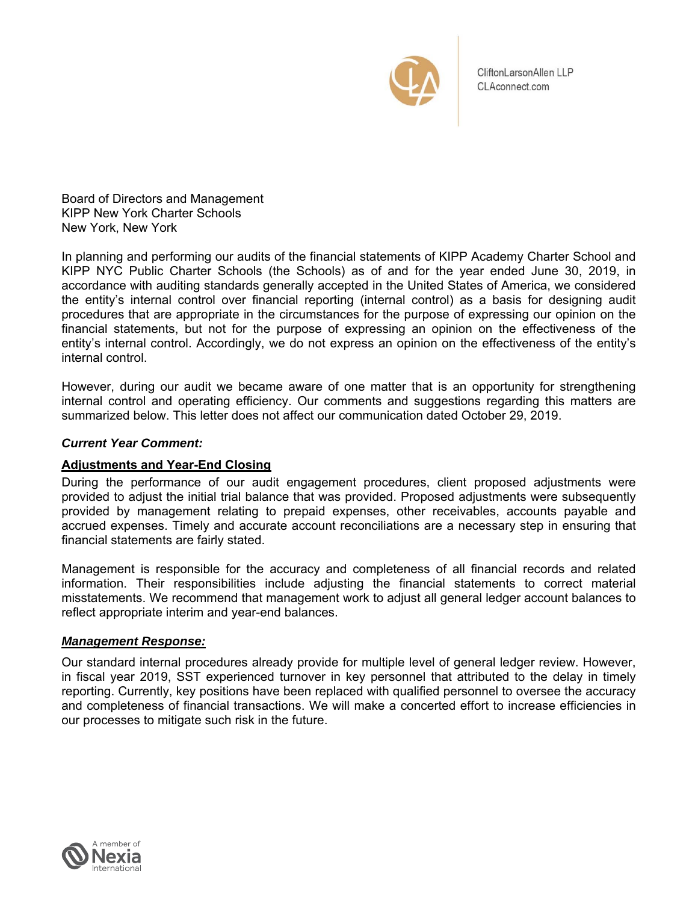

CliftonLarsonAllen LLP CLAconnect.com

Board of Directors and Management KIPP New York Charter Schools New York, New York

In planning and performing our audits of the financial statements of KIPP Academy Charter School and KIPP NYC Public Charter Schools (the Schools) as of and for the year ended June 30, 2019, in accordance with auditing standards generally accepted in the United States of America, we considered the entity's internal control over financial reporting (internal control) as a basis for designing audit procedures that are appropriate in the circumstances for the purpose of expressing our opinion on the financial statements, but not for the purpose of expressing an opinion on the effectiveness of the entity's internal control. Accordingly, we do not express an opinion on the effectiveness of the entity's internal control.

However, during our audit we became aware of one matter that is an opportunity for strengthening internal control and operating efficiency. Our comments and suggestions regarding this matters are summarized below. This letter does not affect our communication dated October 29, 2019.

# *Current Year Comment:*

# **Adjustments and Year-End Closing**

During the performance of our audit engagement procedures, client proposed adjustments were provided to adjust the initial trial balance that was provided. Proposed adjustments were subsequently provided by management relating to prepaid expenses, other receivables, accounts payable and accrued expenses. Timely and accurate account reconciliations are a necessary step in ensuring that financial statements are fairly stated.

Management is responsible for the accuracy and completeness of all financial records and related information. Their responsibilities include adjusting the financial statements to correct material misstatements. We recommend that management work to adjust all general ledger account balances to reflect appropriate interim and year-end balances.

#### *Management Response:*

Our standard internal procedures already provide for multiple level of general ledger review. However, in fiscal year 2019, SST experienced turnover in key personnel that attributed to the delay in timely reporting. Currently, key positions have been replaced with qualified personnel to oversee the accuracy and completeness of financial transactions. We will make a concerted effort to increase efficiencies in our processes to mitigate such risk in the future.